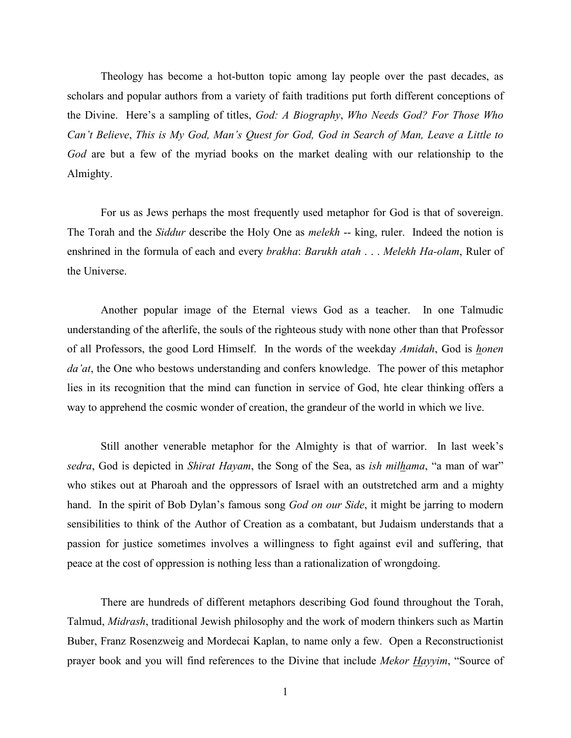Theology has become a hot-button topic among lay people over the past decades, as scholars and popular authors from a variety of faith traditions put forth different conceptions of the Divine. Here's a sampling of titles, *God: A Biography*, *Who Needs God? For Those Who Can't Believe*, *This is My God, Man's Quest for God, God in Search of Man, Leave a Little to God* are but a few of the myriad books on the market dealing with our relationship to the Almighty.

For us as Jews perhaps the most frequently used metaphor for God is that of sovereign. The Torah and the *Siddur* describe the Holy One as *melekh* -- king, ruler. Indeed the notion is enshrined in the formula of each and every *brakha*: *Barukh atah* . . . *Melekh Ha-olam*, Ruler of the Universe.

Another popular image of the Eternal views God as a teacher. In one Talmudic understanding of the afterlife, the souls of the righteous study with none other than that Professor of all Professors, the good Lord Himself. In the words of the weekday *Amidah*, God is *honen da'at*, the One who bestows understanding and confers knowledge. The power of this metaphor lies in its recognition that the mind can function in service of God, hte clear thinking offers a way to apprehend the cosmic wonder of creation, the grandeur of the world in which we live.

Still another venerable metaphor for the Almighty is that of warrior. In last week's *sedra*, God is depicted in *Shirat Hayam*, the Song of the Sea, as *ish milhama*, "a man of war" who stikes out at Pharoah and the oppressors of Israel with an outstretched arm and a mighty hand. In the spirit of Bob Dylan's famous song *God on our Side*, it might be jarring to modern sensibilities to think of the Author of Creation as a combatant, but Judaism understands that a passion for justice sometimes involves a willingness to fight against evil and suffering, that peace at the cost of oppression is nothing less than a rationalization of wrongdoing.

There are hundreds of different metaphors describing God found throughout the Torah, Talmud, *Midrash*, traditional Jewish philosophy and the work of modern thinkers such as Martin Buber, Franz Rosenzweig and Mordecai Kaplan, to name only a few. Open a Reconstructionist prayer book and you will find references to the Divine that include *Mekor Hayyim*, "Source of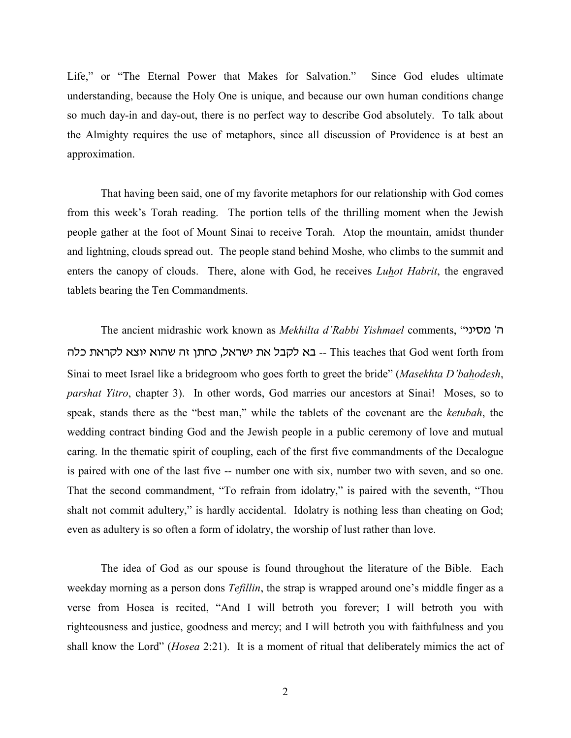Life," or "The Eternal Power that Makes for Salvation." Since God eludes ultimate understanding, because the Holy One is unique, and because our own human conditions change so much day-in and day-out, there is no perfect way to describe God absolutely. To talk about the Almighty requires the use of metaphors, since all discussion of Providence is at best an approximation.

That having been said, one of my favorite metaphors for our relationship with God comes from this week's Torah reading. The portion tells of the thrilling moment when the Jewish people gather at the foot of Mount Sinai to receive Torah. Atop the mountain, amidst thunder and lightning, clouds spread out. The people stand behind Moshe, who climbs to the summit and enters the canopy of clouds. There, alone with God, he receives *Luhot Habrit*, the engraved tablets bearing the Ten Commandments.

The ancient midrashic work known as *Mekhilta d'Rabbi Yishmael* comments, "hbhxn wv ה בא לקבל את ישראל, כחתן זה שהוא יוצא לקראת כלה -- This teaches that God went forth from Sinai to meet Israel like a bridegroom who goes forth to greet the bride" (*Masekhta D'bahodesh*, *parshat Yitro*, chapter 3). In other words, God marries our ancestors at Sinai! Moses, so to speak, stands there as the "best man," while the tablets of the covenant are the *ketubah*, the wedding contract binding God and the Jewish people in a public ceremony of love and mutual caring. In the thematic spirit of coupling, each of the first five commandments of the Decalogue is paired with one of the last five -- number one with six, number two with seven, and so one. That the second commandment, "To refrain from idolatry," is paired with the seventh, "Thou shalt not commit adultery," is hardly accidental. Idolatry is nothing less than cheating on God; even as adultery is so often a form of idolatry, the worship of lust rather than love.

The idea of God as our spouse is found throughout the literature of the Bible. Each weekday morning as a person dons *Tefillin*, the strap is wrapped around one's middle finger as a verse from Hosea is recited, "And I will betroth you forever; I will betroth you with righteousness and justice, goodness and mercy; and I will betroth you with faithfulness and you shall know the Lord" (*Hosea* 2:21). It is a moment of ritual that deliberately mimics the act of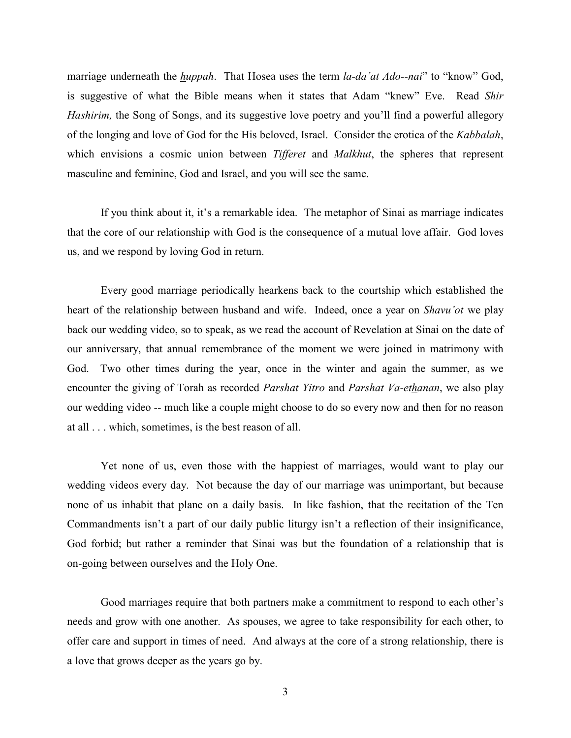marriage underneath the *huppah*. That Hosea uses the term *la-da'at Ado--nai*" to "know" God, is suggestive of what the Bible means when it states that Adam "knew" Eve. Read *Shir Hashirim*, the Song of Songs, and its suggestive love poetry and you'll find a powerful allegory of the longing and love of God for the His beloved, Israel. Consider the erotica of the *Kabbalah*, which envisions a cosmic union between *Tifferet* and *Malkhut*, the spheres that represent masculine and feminine, God and Israel, and you will see the same.

If you think about it, it's a remarkable idea. The metaphor of Sinai as marriage indicates that the core of our relationship with God is the consequence of a mutual love affair. God loves us, and we respond by loving God in return.

Every good marriage periodically hearkens back to the courtship which established the heart of the relationship between husband and wife. Indeed, once a year on *Shavu'ot* we play back our wedding video, so to speak, as we read the account of Revelation at Sinai on the date of our anniversary, that annual remembrance of the moment we were joined in matrimony with God. Two other times during the year, once in the winter and again the summer, as we encounter the giving of Torah as recorded *Parshat Yitro* and *Parshat Va-ethanan*, we also play our wedding video -- much like a couple might choose to do so every now and then for no reason at all . . . which, sometimes, is the best reason of all.

Yet none of us, even those with the happiest of marriages, would want to play our wedding videos every day. Not because the day of our marriage was unimportant, but because none of us inhabit that plane on a daily basis. In like fashion, that the recitation of the Ten Commandments isn't a part of our daily public liturgy isn't a reflection of their insignificance, God forbid; but rather a reminder that Sinai was but the foundation of a relationship that is on-going between ourselves and the Holy One.

Good marriages require that both partners make a commitment to respond to each other's needs and grow with one another. As spouses, we agree to take responsibility for each other, to offer care and support in times of need. And always at the core of a strong relationship, there is a love that grows deeper as the years go by.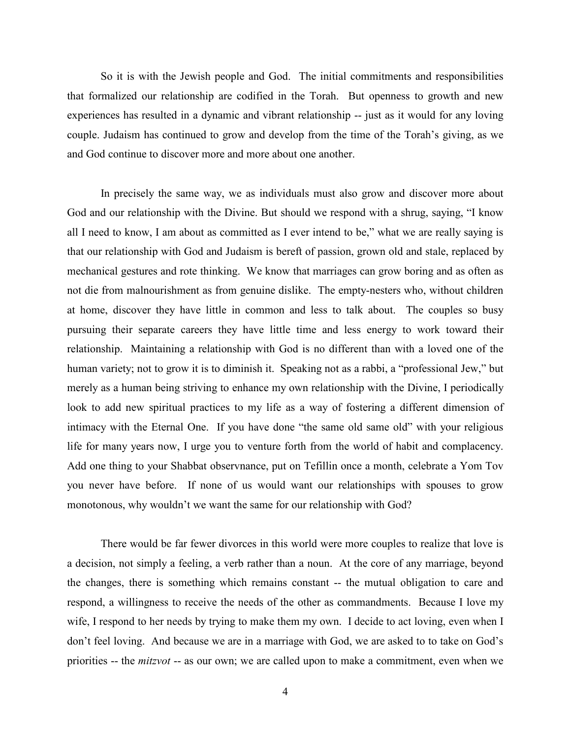So it is with the Jewish people and God. The initial commitments and responsibilities that formalized our relationship are codified in the Torah. But openness to growth and new experiences has resulted in a dynamic and vibrant relationship -- just as it would for any loving couple. Judaism has continued to grow and develop from the time of the Torah's giving, as we and God continue to discover more and more about one another.

In precisely the same way, we as individuals must also grow and discover more about God and our relationship with the Divine. But should we respond with a shrug, saying, "I know all I need to know, I am about as committed as I ever intend to be," what we are really saying is that our relationship with God and Judaism is bereft of passion, grown old and stale, replaced by mechanical gestures and rote thinking. We know that marriages can grow boring and as often as not die from malnourishment as from genuine dislike. The empty-nesters who, without children at home, discover they have little in common and less to talk about. The couples so busy pursuing their separate careers they have little time and less energy to work toward their relationship. Maintaining a relationship with God is no different than with a loved one of the human variety; not to grow it is to diminish it. Speaking not as a rabbi, a "professional Jew," but merely as a human being striving to enhance my own relationship with the Divine, I periodically look to add new spiritual practices to my life as a way of fostering a different dimension of intimacy with the Eternal One. If you have done "the same old same old" with your religious life for many years now, I urge you to venture forth from the world of habit and complacency. Add one thing to your Shabbat observnance, put on Tefillin once a month, celebrate a Yom Tov you never have before. If none of us would want our relationships with spouses to grow monotonous, why wouldn't we want the same for our relationship with God?

There would be far fewer divorces in this world were more couples to realize that love is a decision, not simply a feeling, a verb rather than a noun. At the core of any marriage, beyond the changes, there is something which remains constant -- the mutual obligation to care and respond, a willingness to receive the needs of the other as commandments. Because I love my wife, I respond to her needs by trying to make them my own. I decide to act loving, even when I don't feel loving. And because we are in a marriage with God, we are asked to to take on God's priorities -- the *mitzvot* -- as our own; we are called upon to make a commitment, even when we